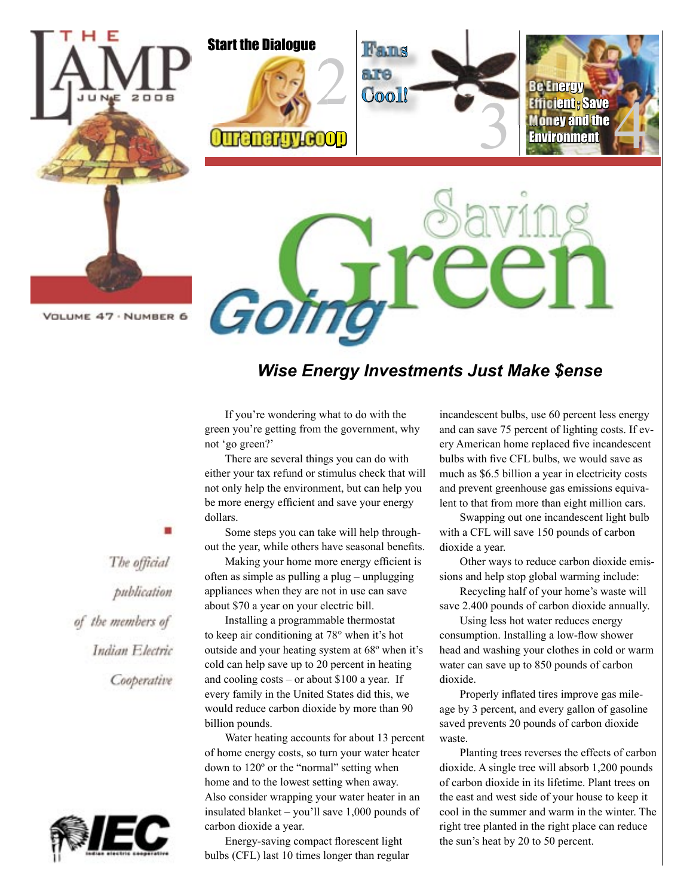

#### *Wise Energy Investments Just Make \$ense*

If you're wondering what to do with the green you're getting from the government, why not 'go green?'

There are several things you can do with either your tax refund or stimulus check that will not only help the environment, but can help you be more energy efficient and save your energy dollars.

Some steps you can take will help throughout the year, while others have seasonal benefits.

Making your home more energy efficient is often as simple as pulling a plug – unplugging appliances when they are not in use can save about \$70 a year on your electric bill.

Installing a programmable thermostat to keep air conditioning at 78° when it's hot outside and your heating system at 68º when it's cold can help save up to 20 percent in heating and cooling costs – or about \$100 a year. If every family in the United States did this, we would reduce carbon dioxide by more than 90 billion pounds.

Water heating accounts for about 13 percent of home energy costs, so turn your water heater down to 120º or the "normal" setting when home and to the lowest setting when away. Also consider wrapping your water heater in an insulated blanket – you'll save 1,000 pounds of carbon dioxide a year.

Energy-saving compact florescent light bulbs (CFL) last 10 times longer than regular incandescent bulbs, use 60 percent less energy and can save 75 percent of lighting costs. If every American home replaced five incandescent bulbs with five CFL bulbs, we would save as much as \$6.5 billion a year in electricity costs and prevent greenhouse gas emissions equivalent to that from more than eight million cars.

Swapping out one incandescent light bulb with a CFL will save 150 pounds of carbon dioxide a year.

Other ways to reduce carbon dioxide emissions and help stop global warming include:

Recycling half of your home's waste will save 2.400 pounds of carbon dioxide annually.

Using less hot water reduces energy consumption. Installing a low-flow shower head and washing your clothes in cold or warm water can save up to 850 pounds of carbon dioxide.

Properly inflated tires improve gas mileage by 3 percent, and every gallon of gasoline saved prevents 20 pounds of carbon dioxide waste.

Planting trees reverses the effects of carbon dioxide. A single tree will absorb 1,200 pounds of carbon dioxide in its lifetime. Plant trees on the east and west side of your house to keep it cool in the summer and warm in the winter. The right tree planted in the right place can reduce the sun's heat by 20 to 50 percent.

The official publication of the members of Indian Electric Cooperative

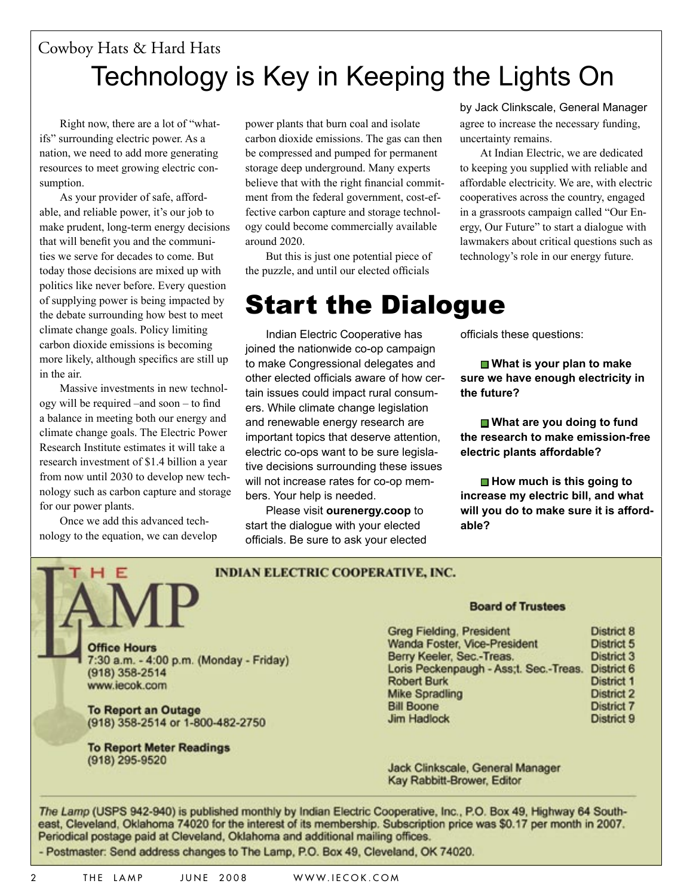### Technology is Key in Keeping the Lights On Cowboy Hats & Hard Hats

Right now, there are a lot of "whatifs" surrounding electric power. As a nation, we need to add more generating resources to meet growing electric consumption.

As your provider of safe, affordable, and reliable power, it's our job to make prudent, long-term energy decisions that will benefit you and the communities we serve for decades to come. But today those decisions are mixed up with politics like never before. Every question of supplying power is being impacted by the debate surrounding how best to meet climate change goals. Policy limiting carbon dioxide emissions is becoming more likely, although specifics are still up in the air.

Massive investments in new technology will be required –and soon – to find a balance in meeting both our energy and climate change goals. The Electric Power Research Institute estimates it will take a research investment of \$1.4 billion a year from now until 2030 to develop new technology such as carbon capture and storage for our power plants.

Once we add this advanced technology to the equation, we can develop power plants that burn coal and isolate carbon dioxide emissions. The gas can then be compressed and pumped for permanent storage deep underground. Many experts believe that with the right financial commitment from the federal government, cost-effective carbon capture and storage technology could become commercially available around 2020.

But this is just one potential piece of the puzzle, and until our elected officials

### Start the Dialogue

Indian Electric Cooperative has joined the nationwide co-op campaign to make Congressional delegates and other elected officials aware of how certain issues could impact rural consumers. While climate change legislation and renewable energy research are important topics that deserve attention, electric co-ops want to be sure legislative decisions surrounding these issues will not increase rates for co-op members. Your help is needed.

Please visit **ourenergy.coop** to start the dialogue with your elected officials. Be sure to ask your elected

**INDIAN ELECTRIC COOPERATIVE, INC.**

agree to increase the necessary funding, uncertainty remains. by Jack Clinkscale, General Manager

At Indian Electric, we are dedicated to keeping you supplied with reliable and affordable electricity. We are, with electric cooperatives across the country, engaged in a grassroots campaign called "Our Energy, Our Future" to start a dialogue with lawmakers about critical questions such as technology's role in our energy future.

officials these questions:

**■ What is your plan to make sure we have enough electricity in the future?**

■ What are you doing to fund **the research to make emission-free electric plants affordable?**

■ How much is this going to **increase my electric bill, and what will you do to make sure it is affordable?**

**Office Hours** 7:30 a.m. – 4:00 p.m. (Monday - Friday) (918) 358-2514 www.iecok.com

**To Report an Outage** (918) 358-2514 or 1-800-482-2750

**To Report Meter Readings**  (918) 295-9520

#### **Board of Trustees**

| <b>Greg Fielding, President</b>        | District 8        |
|----------------------------------------|-------------------|
| Wanda Foster, Vice-President           | District 5        |
| Berry Keeler, Sec.-Treas.              | <b>District 3</b> |
| Loris Peckenpaugh - Ass;t. Sec.-Treas. | District 6        |
| <b>Robert Burk</b>                     | <b>District 1</b> |
| Mike Spradling                         | <b>District 2</b> |
| <b>Bill Boone</b>                      | <b>District 7</b> |
| <b>Jim Hadlock</b>                     | District 9        |
|                                        |                   |

Jack Clinkscale, General Manager Kay Rabbitt-Brower, Editor

*The Lamp* (USPS 942-940) is published monthly by Indian Electric Cooperative, Inc., P.O. Box 49, Highway 64 Southeast, Cleveland, Oklahoma 74020 for the interest of its membership. Subscription price was \$0.17 per month in 2004. Periodical postage paid at Cleveland, Oklahoma and additional mailing offices.

- Postmaster: Send address changes to The Lamp, P.O. Box 49, Cleveland, OK 74020.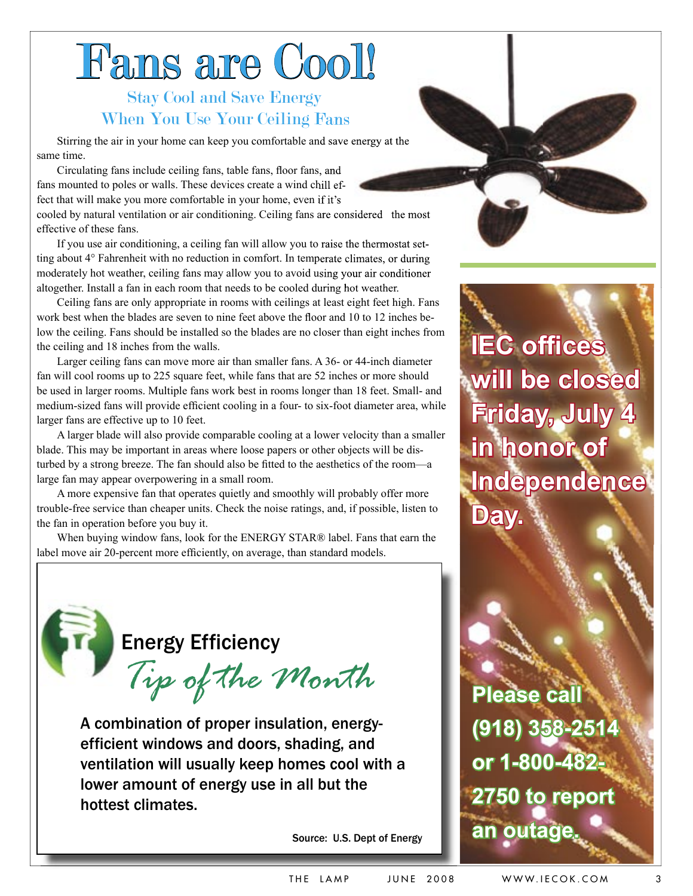# Fans are Cool!

#### Stay Cool and Save Energy When You Use Your Ceiling Fans

Stirring the air in your home can keep you comfortable and save energy at the same time.

Circulating fans include ceiling fans, table fans, floor fans, and fans mounted to poles or walls. These devices create a wind chill effect that will make you more comfortable in your home, even if it's cooled by natural ventilation or air conditioning. Ceiling fans are considered the most

effective of these fans.

If you use air conditioning, a ceiling fan will allow you to raise the thermostat setting about 4° Fahrenheit with no reduction in comfort. In temperate climates, or during moderately hot weather, ceiling fans may allow you to avoid using your air conditioner altogether. Install a fan in each room that needs to be cooled during hot weather.

Ceiling fans are only appropriate in rooms with ceilings at least eight feet high. Fans work best when the blades are seven to nine feet above the floor and 10 to 12 inches below the ceiling. Fans should be installed so the blades are no closer than eight inches from the ceiling and 18 inches from the walls.

Larger ceiling fans can move more air than smaller fans. A 36- or 44-inch diameter fan will cool rooms up to 225 square feet, while fans that are 52 inches or more should be used in larger rooms. Multiple fans work best in rooms longer than 18 feet. Small- and medium-sized fans will provide efficient cooling in a four- to six-foot diameter area, while larger fans are effective up to 10 feet.

A larger blade will also provide comparable cooling at a lower velocity than a smaller blade. This may be important in areas where loose papers or other objects will be disturbed by a strong breeze. The fan should also be fitted to the aesthetics of the room—a large fan may appear overpowering in a small room.

A more expensive fan that operates quietly and smoothly will probably offer more trouble-free service than cheaper units. Check the noise ratings, and, if possible, listen to the fan in operation before you buy it.

When buying window fans, look for the ENERGY STAR® label. Fans that earn the label move air 20-percent more efficiently, on average, than standard models.

Energy Efficiency

*Tip of the Month*

A combination of proper insulation, energyefficient windows and doors, shading, and ventilation will usually keep homes cool with a lower amount of energy use in all but the hottest climates.

Source: U.S. Dept of Energy

**IEC offices will be closed Friday, July 4 in honor of Independence Day.**

**Please call (918) 358-2514 or 1-800-482- 2750 to report an outage.**